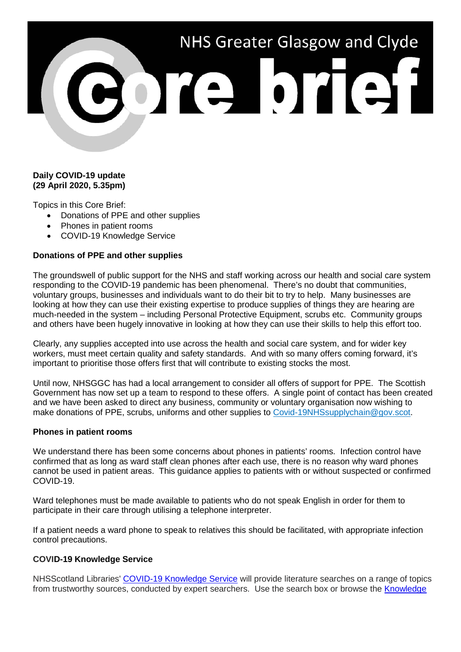# NHS Greater Glasgow and Clyde ore brief

# **Daily COVID-19 update (29 April 2020, 5.35pm)**

Topics in this Core Brief:

- Donations of PPE and other supplies
- Phones in patient rooms
- COVID-19 Knowledge Service

# **Donations of PPE and other supplies**

The groundswell of public support for the NHS and staff working across our health and social care system responding to the COVID-19 pandemic has been phenomenal. There's no doubt that communities, voluntary groups, businesses and individuals want to do their bit to try to help. Many businesses are looking at how they can use their existing expertise to produce supplies of things they are hearing are much-needed in the system – including Personal Protective Equipment, scrubs etc. Community groups and others have been hugely innovative in looking at how they can use their skills to help this effort too.

Clearly, any supplies accepted into use across the health and social care system, and for wider key workers, must meet certain quality and safety standards. And with so many offers coming forward, it's important to prioritise those offers first that will contribute to existing stocks the most.

Until now, NHSGGC has had a local arrangement to consider all offers of support for PPE. The Scottish Government has now set up a team to respond to these offers. A single point of contact has been created and we have been asked to direct any business, community or voluntary organisation now wishing to make donations of PPE, scrubs, uniforms and other supplies to [Covid-19NHSsupplychain@gov.scot.](mailto:Covid-19NHSsupplychain@gov.scot)

### **Phones in patient rooms**

We understand there has been some concerns about phones in patients' rooms. Infection control have confirmed that as long as ward staff clean phones after each use, there is no reason why ward phones cannot be used in patient areas. This guidance applies to patients with or without suspected or confirmed COVID-19.

Ward telephones must be made available to patients who do not speak English in order for them to participate in their care through utilising a telephone interpreter.

If a patient needs a ward phone to speak to relatives this should be facilitated, with appropriate infection control precautions.

### **COVID-19 Knowledge Service**

NHSScotland Libraries' [COVID-19 Knowledge Service](https://covid19ks.zendesk.com/) will provide literature searches on a range of topics from trustworthy sources, conducted by expert searchers. Use the search box or browse the [Knowledge](https://covid19ks.zendesk.com/hc/en-gb/categories/360001349377-Knowledge-Centre)